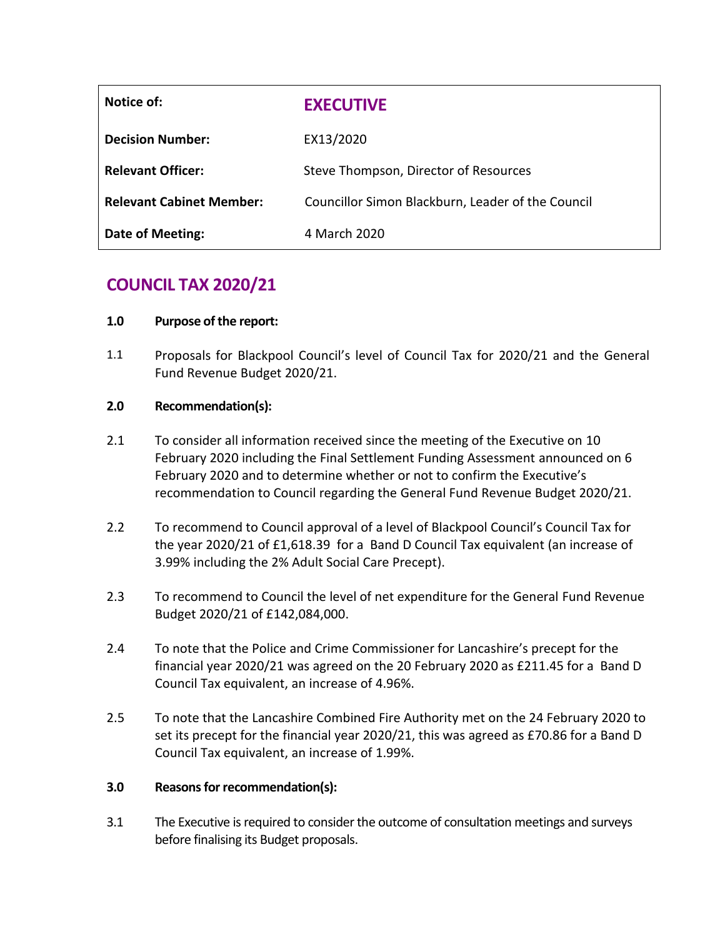| Notice of:                      | <b>EXECUTIVE</b>                                  |  |
|---------------------------------|---------------------------------------------------|--|
| <b>Decision Number:</b>         | EX13/2020                                         |  |
| <b>Relevant Officer:</b>        | Steve Thompson, Director of Resources             |  |
| <b>Relevant Cabinet Member:</b> | Councillor Simon Blackburn, Leader of the Council |  |
| <b>Date of Meeting:</b>         | 4 March 2020                                      |  |

# **COUNCIL TAX 2020/21**

### **1.0 Purpose of the report:**

1.1 Proposals for Blackpool Council's level of Council Tax for 2020/21 and the General Fund Revenue Budget 2020/21.

### **2.0 Recommendation(s):**

- 2.1 To consider all information received since the meeting of the Executive on 10 February 2020 including the Final Settlement Funding Assessment announced on 6 February 2020 and to determine whether or not to confirm the Executive's recommendation to Council regarding the General Fund Revenue Budget 2020/21.
- 2.2 To recommend to Council approval of a level of Blackpool Council's Council Tax for the year 2020/21 of £1,618.39 for a Band D Council Tax equivalent (an increase of 3.99% including the 2% Adult Social Care Precept).
- 2.3 To recommend to Council the level of net expenditure for the General Fund Revenue Budget 2020/21 of £142,084,000.
- 2.4 To note that the Police and Crime Commissioner for Lancashire's precept for the financial year 2020/21 was agreed on the 20 February 2020 as £211.45 for a Band D Council Tax equivalent, an increase of 4.96%.
- 2.5 To note that the Lancashire Combined Fire Authority met on the 24 February 2020 to set its precept for the financial year 2020/21, this was agreed as £70.86 for a Band D Council Tax equivalent, an increase of 1.99%.

### **3.0 Reasons for recommendation(s):**

3.1 The Executive is required to consider the outcome of consultation meetings and surveys before finalising its Budget proposals.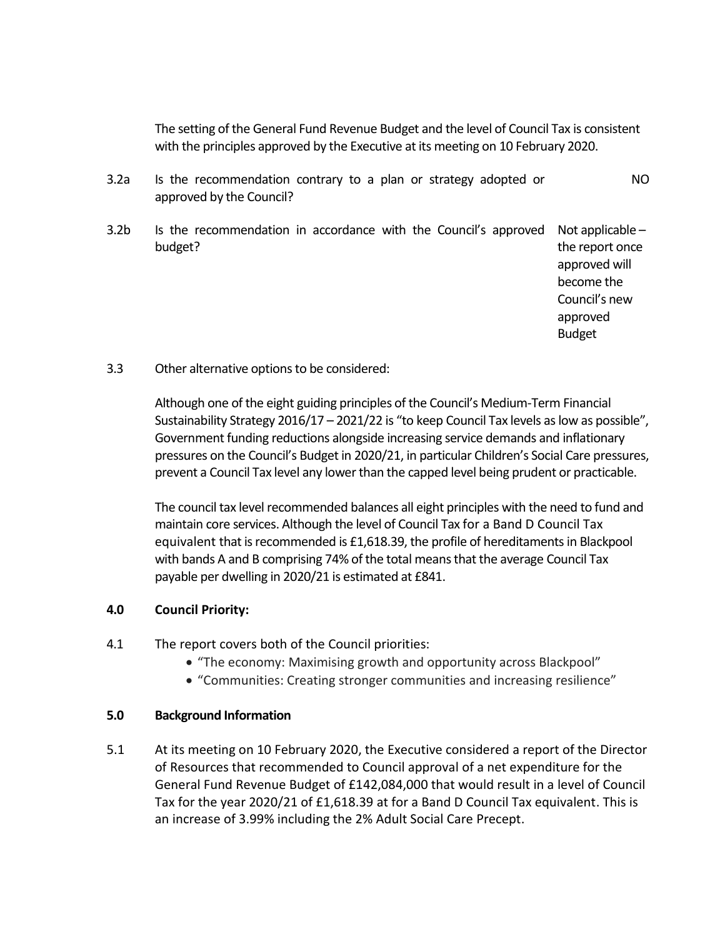The setting of the General Fund Revenue Budget and the level of Council Tax is consistent with the principles approved by the Executive at its meeting on 10 February 2020.

- 3.2a Is the recommendation contrary to a plan or strategy adopted or approved by the Council? NO
- 3.2b Is the recommendation in accordance with the Council's approved Not applicable budget? the report once

approved will become the Council's new approved Budget

3.3 Other alternative options to be considered:

Although one of the eight guiding principles of the Council's Medium-Term Financial Sustainability Strategy 2016/17 – 2021/22 is "to keep Council Tax levels as low as possible", Government funding reductions alongside increasing service demands and inflationary pressures on the Council's Budget in 2020/21, in particular Children's Social Care pressures, prevent a Council Tax level any lower than the capped level being prudent or practicable.

The council tax level recommended balances all eight principles with the need to fund and maintain core services. Although the level of Council Tax for a Band D Council Tax equivalent that is recommended is £1,618.39, the profile of hereditaments in Blackpool with bands A and B comprising 74% of the total means that the average Council Tax payable per dwelling in 2020/21 is estimated at £841.

### **4.0 Council Priority:**

- 4.1 The report covers both of the Council priorities:
	- "The economy: Maximising growth and opportunity across Blackpool"
	- "Communities: Creating stronger communities and increasing resilience"

#### **5.0 Background Information**

5.1 At its meeting on 10 February 2020, the Executive considered a report of the Director of Resources that recommended to Council approval of a net expenditure for the General Fund Revenue Budget of £142,084,000 that would result in a level of Council Tax for the year 2020/21 of £1,618.39 at for a Band D Council Tax equivalent. This is an increase of 3.99% including the 2% Adult Social Care Precept.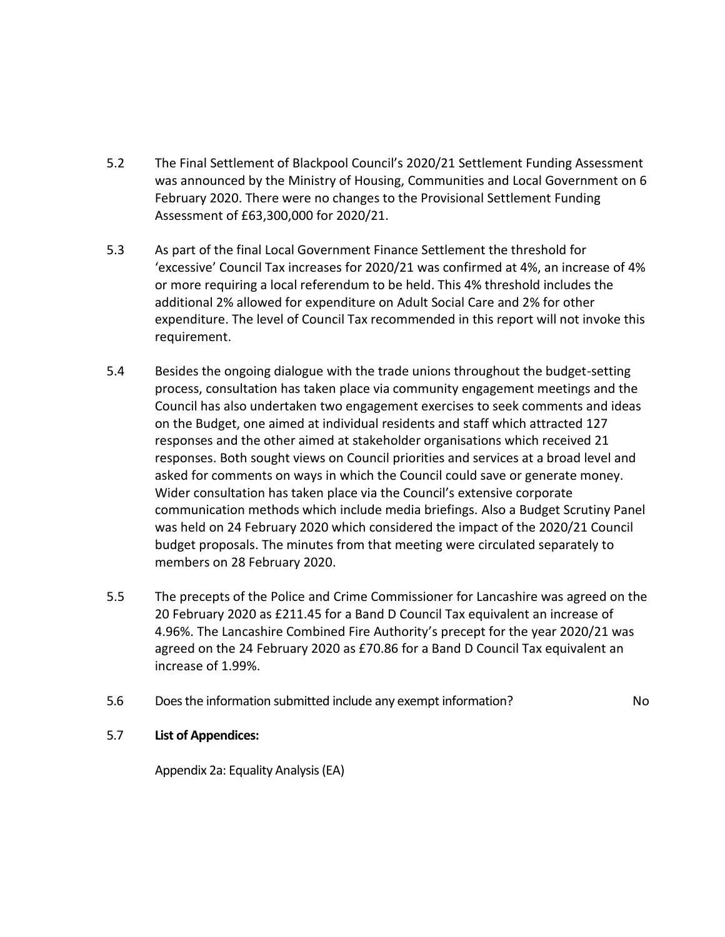- 5.2 The Final Settlement of Blackpool Council's 2020/21 Settlement Funding Assessment was announced by the Ministry of Housing, Communities and Local Government on 6 February 2020. There were no changes to the Provisional Settlement Funding Assessment of £63,300,000 for 2020/21.
- 5.3 As part of the final Local Government Finance Settlement the threshold for 'excessive' Council Tax increases for 2020/21 was confirmed at 4%, an increase of 4% or more requiring a local referendum to be held. This 4% threshold includes the additional 2% allowed for expenditure on Adult Social Care and 2% for other expenditure. The level of Council Tax recommended in this report will not invoke this requirement.
- 5.4 Besides the ongoing dialogue with the trade unions throughout the budget-setting process, consultation has taken place via community engagement meetings and the Council has also undertaken two engagement exercises to seek comments and ideas on the Budget, one aimed at individual residents and staff which attracted 127 responses and the other aimed at stakeholder organisations which received 21 responses. Both sought views on Council priorities and services at a broad level and asked for comments on ways in which the Council could save or generate money. Wider consultation has taken place via the Council's extensive corporate communication methods which include media briefings. Also a Budget Scrutiny Panel was held on 24 February 2020 which considered the impact of the 2020/21 Council budget proposals. The minutes from that meeting were circulated separately to members on 28 February 2020.
- 5.5 The precepts of the Police and Crime Commissioner for Lancashire was agreed on the 20 February 2020 as £211.45 for a Band D Council Tax equivalent an increase of 4.96%. The Lancashire Combined Fire Authority's precept for the year 2020/21 was agreed on the 24 February 2020 as £70.86 for a Band D Council Tax equivalent an increase of 1.99%.
- 5.6 Does the information submitted include any exempt information? No

### 5.7 **List of Appendices:**

Appendix 2a: Equality Analysis (EA)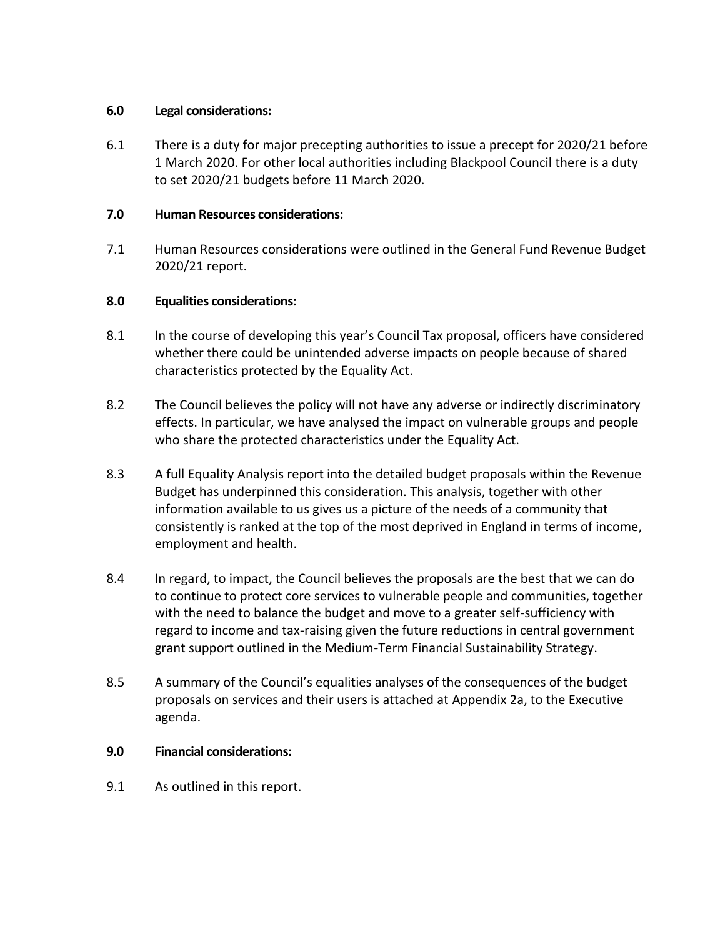### **6.0 Legal considerations:**

6.1 There is a duty for major precepting authorities to issue a precept for 2020/21 before 1 March 2020. For other local authorities including Blackpool Council there is a duty to set 2020/21 budgets before 11 March 2020.

### **7.0 Human Resources considerations:**

7.1 Human Resources considerations were outlined in the General Fund Revenue Budget 2020/21 report.

### **8.0 Equalities considerations:**

- 8.1 In the course of developing this year's Council Tax proposal, officers have considered whether there could be unintended adverse impacts on people because of shared characteristics protected by the Equality Act.
- 8.2 The Council believes the policy will not have any adverse or indirectly discriminatory effects. In particular, we have analysed the impact on vulnerable groups and people who share the protected characteristics under the Equality Act.
- 8.3 A full Equality Analysis report into the detailed budget proposals within the Revenue Budget has underpinned this consideration. This analysis, together with other information available to us gives us a picture of the needs of a community that consistently is ranked at the top of the most deprived in England in terms of income, employment and health.
- 8.4 In regard, to impact, the Council believes the proposals are the best that we can do to continue to protect core services to vulnerable people and communities, together with the need to balance the budget and move to a greater self-sufficiency with regard to income and tax-raising given the future reductions in central government grant support outlined in the Medium-Term Financial Sustainability Strategy.
- 8.5 A summary of the Council's equalities analyses of the consequences of the budget proposals on services and their users is attached at Appendix 2a, to the Executive agenda.

### **9.0 Financial considerations:**

9.1 As outlined in this report.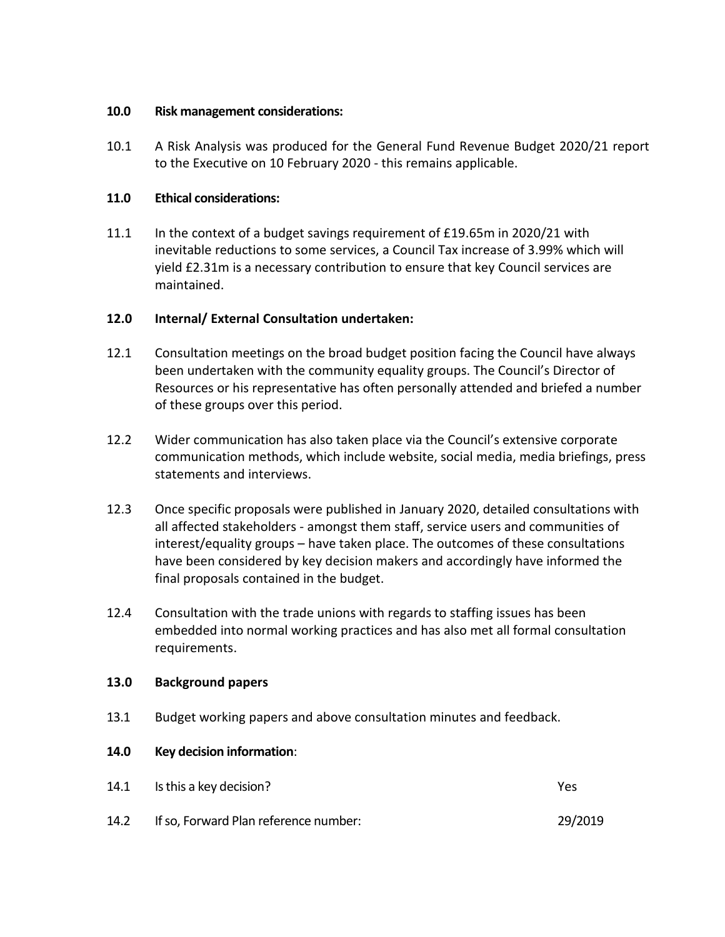### **10.0 Risk management considerations:**

10.1 A Risk Analysis was produced for the General Fund Revenue Budget 2020/21 report to the Executive on 10 February 2020 - this remains applicable.

### **11.0 Ethical considerations:**

11.1 In the context of a budget savings requirement of £19.65m in 2020/21 with inevitable reductions to some services, a Council Tax increase of 3.99% which will yield £2.31m is a necessary contribution to ensure that key Council services are maintained.

## **12.0 Internal/ External Consultation undertaken:**

- 12.1 Consultation meetings on the broad budget position facing the Council have always been undertaken with the community equality groups. The Council's Director of Resources or his representative has often personally attended and briefed a number of these groups over this period.
- 12.2 Wider communication has also taken place via the Council's extensive corporate communication methods, which include website, social media, media briefings, press statements and interviews.
- 12.3 Once specific proposals were published in January 2020, detailed consultations with all affected stakeholders - amongst them staff, service users and communities of interest/equality groups – have taken place. The outcomes of these consultations have been considered by key decision makers and accordingly have informed the final proposals contained in the budget.
- 12.4 Consultation with the trade unions with regards to staffing issues has been embedded into normal working practices and has also met all formal consultation requirements.

### **13.0 Background papers**

13.1 Budget working papers and above consultation minutes and feedback.

### **14.0 Key decision information**:

- 14.1 Is this a key decision? Yes
- 14.2 If so, Forward Plan reference number: 29/2019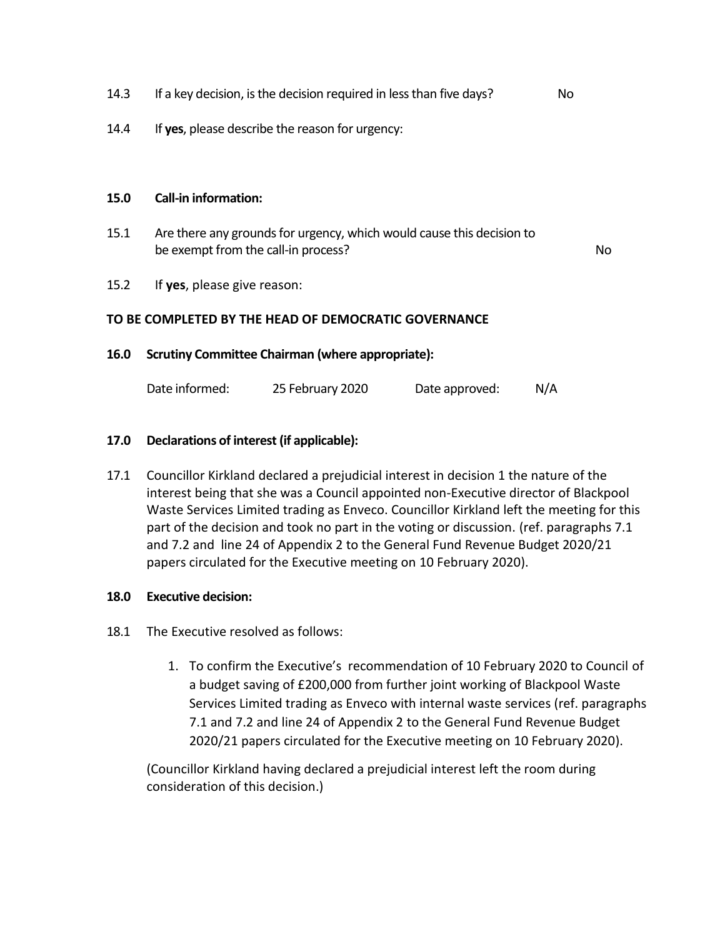- 14.3 If a key decision, is the decision required in less than five days? No
- 14.4 If **yes**, please describe the reason for urgency:

#### **15.0 Call-in information:**

15.1 Are there any grounds for urgency, which would cause this decision to be exempt from the call-in process? No was a set of the call-

15.2 If **yes**, please give reason:

#### **TO BE COMPLETED BY THE HEAD OF DEMOCRATIC GOVERNANCE**

#### **16.0 Scrutiny Committee Chairman (where appropriate):**

| Date informed: | 25 February 2020 | N/A<br>Date approved: |
|----------------|------------------|-----------------------|
|----------------|------------------|-----------------------|

#### **17.0 Declarations of interest (if applicable):**

17.1 Councillor Kirkland declared a prejudicial interest in decision 1 the nature of the interest being that she was a Council appointed non-Executive director of Blackpool Waste Services Limited trading as Enveco. Councillor Kirkland left the meeting for this part of the decision and took no part in the voting or discussion. (ref. paragraphs 7.1 and 7.2 and line 24 of Appendix 2 to the General Fund Revenue Budget 2020/21 papers circulated for the Executive meeting on 10 February 2020).

#### **18.0 Executive decision:**

- 18.1 The Executive resolved as follows:
	- 1. To confirm the Executive's recommendation of 10 February 2020 to Council of a budget saving of £200,000 from further joint working of Blackpool Waste Services Limited trading as Enveco with internal waste services (ref. paragraphs 7.1 and 7.2 and line 24 of Appendix 2 to the General Fund Revenue Budget 2020/21 papers circulated for the Executive meeting on 10 February 2020).

(Councillor Kirkland having declared a prejudicial interest left the room during consideration of this decision.)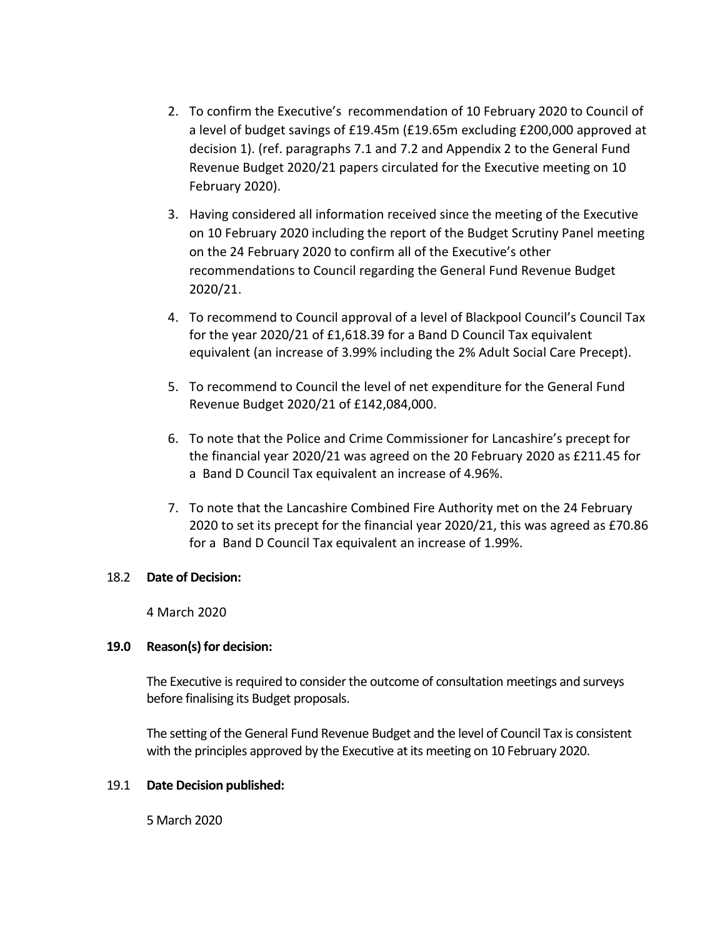- 2. To confirm the Executive's recommendation of 10 February 2020 to Council of a level of budget savings of £19.45m (£19.65m excluding £200,000 approved at decision 1). (ref. paragraphs 7.1 and 7.2 and Appendix 2 to the General Fund Revenue Budget 2020/21 papers circulated for the Executive meeting on 10 February 2020).
- 3. Having considered all information received since the meeting of the Executive on 10 February 2020 including the report of the Budget Scrutiny Panel meeting on the 24 February 2020 to confirm all of the Executive's other recommendations to Council regarding the General Fund Revenue Budget 2020/21.
- 4. To recommend to Council approval of a level of Blackpool Council's Council Tax for the year 2020/21 of £1,618.39 for a Band D Council Tax equivalent equivalent (an increase of 3.99% including the 2% Adult Social Care Precept).
- 5. To recommend to Council the level of net expenditure for the General Fund Revenue Budget 2020/21 of £142,084,000.
- 6. To note that the Police and Crime Commissioner for Lancashire's precept for the financial year 2020/21 was agreed on the 20 February 2020 as £211.45 for a Band D Council Tax equivalent an increase of 4.96%.
- 7. To note that the Lancashire Combined Fire Authority met on the 24 February 2020 to set its precept for the financial year 2020/21, this was agreed as £70.86 for a Band D Council Tax equivalent an increase of 1.99%.

### 18.2 **Date of Decision:**

4 March 2020

### **19.0 Reason(s) for decision:**

The Executive is required to consider the outcome of consultation meetings and surveys before finalising its Budget proposals.

The setting of the General Fund Revenue Budget and the level of Council Tax is consistent with the principles approved by the Executive at its meeting on 10 February 2020.

### 19.1 **Date Decision published:**

5 March 2020